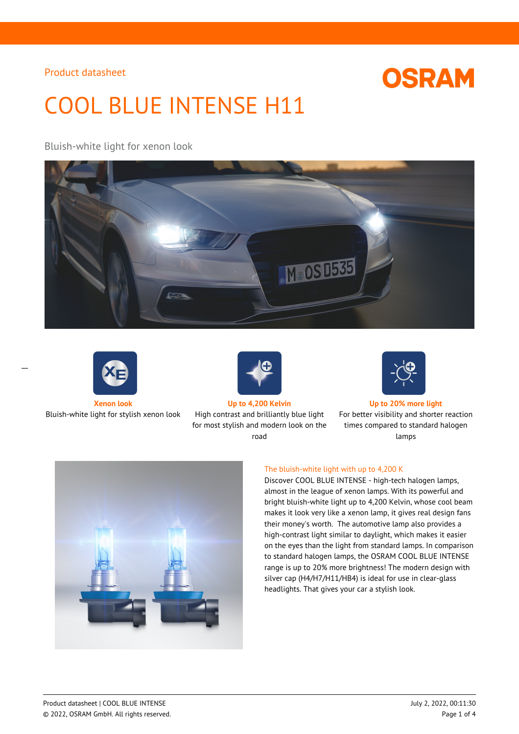

# COOL BLUE INTENSE H11

Bluish-white light for xenon look





 $\overline{a}$ 



Bluish-white light for stylish xenon look High contrast and brilliantly blue light for most stylish and modern look on the road



**Xenon look Up to 4,200 Kelvin Up to 20% more light**

For better visibility and shorter reaction times compared to standard halogen lamps



### The bluish-white light with up to 4,200 K

Discover COOL BLUE INTENSE - high-tech halogen lamps, almost in the league of xenon lamps. With its powerful and bright bluish-white light up to 4,200 Kelvin, whose cool beam makes it look very like a xenon lamp, it gives real design fans their money's worth. The automotive lamp also provides a high-contrast light similar to daylight, which makes it easier on the eyes than the light from standard lamps. In comparison to standard halogen lamps, the OSRAM COOL BLUE INTENSE range is up to 20% more brightness! The modern design with silver cap (H4/H7/H11/HB4) is ideal for use in clear-glass headlights. That gives your car a stylish look.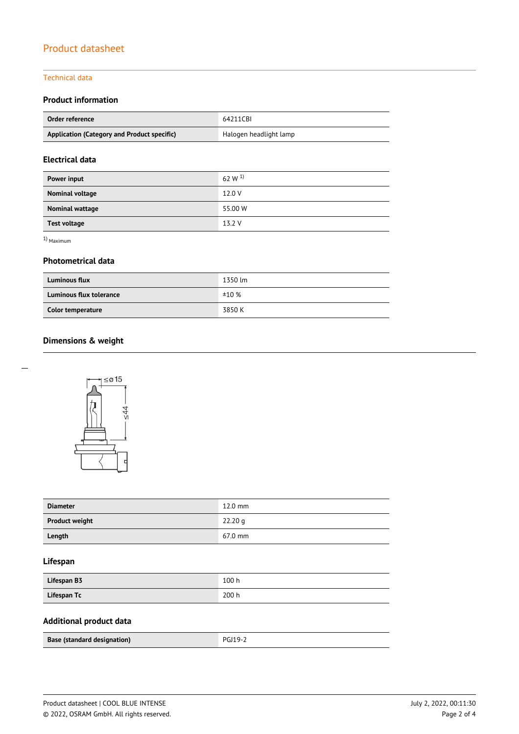#### Technical data

## **Product information**

| Order reference                             | 64211CBI               |  |
|---------------------------------------------|------------------------|--|
| Application (Category and Product specific) | Halogen headlight lamp |  |

## **Electrical data**

| Power input         | 62 W $^{1}$ |
|---------------------|-------------|
| Nominal voltage     | 12.0 V      |
| Nominal wattage     | 55.00 W     |
| <b>Test voltage</b> | 13.2 V      |

1) Maximum

#### **Photometrical data**

| <b>Luminous flux</b>    | 1350 lm |
|-------------------------|---------|
| Luminous flux tolerance | ±10%    |
| Color temperature       | 3850 K  |

# **Dimensions & weight**

 $\overline{a}$ 



| <b>Diameter</b>       | $12.0$ mm         |
|-----------------------|-------------------|
| <b>Product weight</b> | 22.20 g           |
| Length                | $67.0 \text{ mm}$ |

## **Lifespan**

| Lifespan B3 | 100h  |
|-------------|-------|
| Lifespan Tc | 200 h |

# **Additional product data**

| Base (standard designation) | <b>PGJ19-2</b> |  |
|-----------------------------|----------------|--|
|                             |                |  |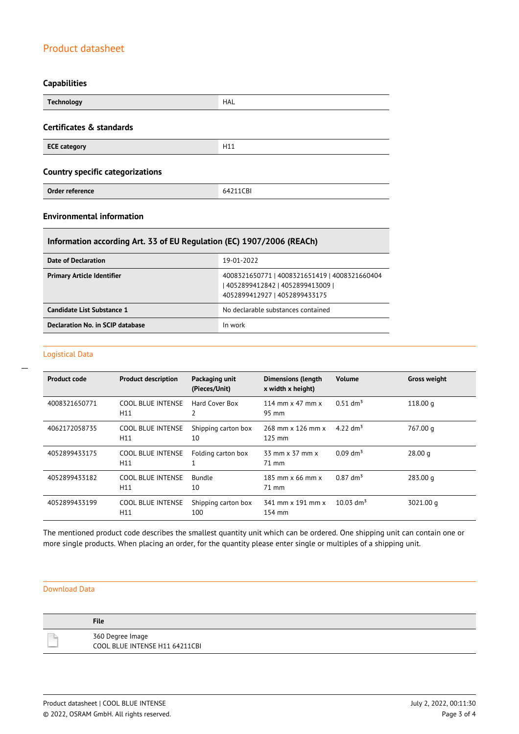## **Capabilities**

| <b>Technology</b>                       | <b>HAL</b> |  |
|-----------------------------------------|------------|--|
| Certificates & standards                |            |  |
| <b>ECE category</b>                     | H11        |  |
| <b>Country specific categorizations</b> |            |  |
| Order reference                         | 64211CBI   |  |

## **Environmental information**

## **Information according Art. 33 of EU Regulation (EC) 1907/2006 (REACh)**

| Date of Declaration               | 19-01-2022                                                                                                          |
|-----------------------------------|---------------------------------------------------------------------------------------------------------------------|
| <b>Primary Article Identifier</b> | 4008321650771   4008321651419   4008321660404<br>  4052899412842   4052899413009  <br>4052899412927   4052899433175 |
| Candidate List Substance 1        | No declarable substances contained                                                                                  |
| Declaration No. in SCIP database  | In work                                                                                                             |

### Logistical Data

 $\overline{a}$ 

| <b>Product code</b> | <b>Product description</b>      | Packaging unit<br>(Pieces/Unit) | <b>Dimensions (length</b><br>x width x height) | <b>Volume</b>           | <b>Gross weight</b> |
|---------------------|---------------------------------|---------------------------------|------------------------------------------------|-------------------------|---------------------|
| 4008321650771       | <b>COOL BLUE INTENSE</b><br>H11 | Hard Cover Box<br>2             | 114 mm $\times$ 47 mm $\times$<br>95 mm        | $0.51$ dm <sup>3</sup>  | 118.00 g            |
| 4062172058735       | <b>COOL BLUE INTENSE</b><br>H11 | Shipping carton box<br>10       | 268 mm x 126 mm x<br>$125$ mm                  | 4.22 $\rm{dm^{3}}$      | 767.00 g            |
| 4052899433175       | <b>COOL BLUE INTENSE</b><br>H11 | Folding carton box              | 33 mm x 37 mm x<br>71 mm                       | $0.09$ dm <sup>3</sup>  | 28.00 <sub>q</sub>  |
| 4052899433182       | <b>COOL BLUE INTENSE</b><br>H11 | <b>Bundle</b><br>10             | $185$ mm $\times$ 66 mm $\times$<br>71 mm      | $0.87$ dm <sup>3</sup>  | 283.00 g            |
| 4052899433199       | <b>COOL BLUE INTENSE</b><br>H11 | Shipping carton box<br>100      | 341 mm x 191 mm x<br>154 mm                    | $10.03$ dm <sup>3</sup> | 3021.00 g           |

The mentioned product code describes the smallest quantity unit which can be ordered. One shipping unit can contain one or more single products. When placing an order, for the quantity please enter single or multiples of a shipping unit.

#### Download Data

| <b>File</b>                                        |
|----------------------------------------------------|
| 360 Degree Image<br>COOL BLUE INTENSE H11 64211CBI |